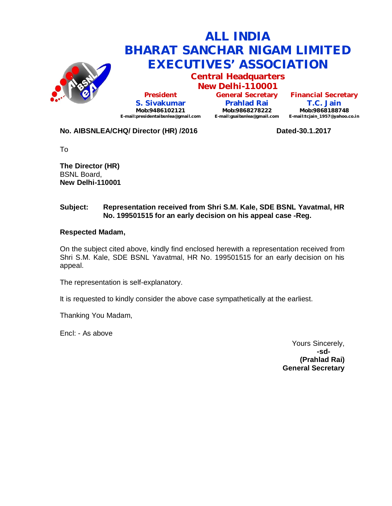

# **ALL INDIA BHARAT SANCHAR NIGAM LIMITED EXECUTIVES' ASSOCIATION**

**Central Headquarters**

**New Delhi-110001 President S. Sivakumar Mob:9486102121 E-mail:presidentaibsnlea@gmail.com**

**General Secretary Prahlad Rai Mob:9868278222 E-mail:gsaibsnlea@gmail.com**

**Financial Secretary T.C. Jain Mob:9868188748 E-mail:tcjain\_1957@yahoo.co.in**

### **No. AIBSNLEA/CHQ/ Director (HR) /2016 Dated-30.1.2017**

To

**The Director (HR)** BSNL Board, **New Delhi-110001** 

#### **Subject: Representation received from Shri S.M. Kale, SDE BSNL Yavatmal, HR No. 199501515 for an early decision on his appeal case -Reg.**

#### **Respected Madam,**

On the subject cited above, kindly find enclosed herewith a representation received from Shri S.M. Kale, SDE BSNL Yavatmal, HR No. 199501515 for an early decision on his appeal.

The representation is self-explanatory.

It is requested to kindly consider the above case sympathetically at the earliest.

Thanking You Madam,

Encl: - As above

Yours Sincerely, **-sd- (Prahlad Rai) General Secretary**